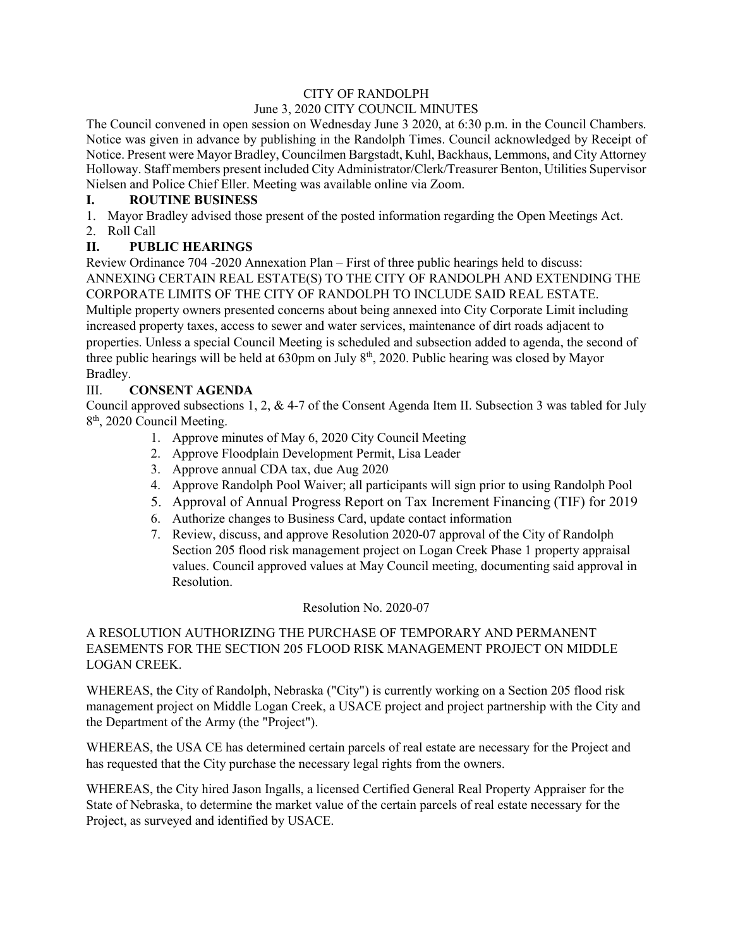#### CITY OF RANDOLPH

## June 3, 2020 CITY COUNCIL MINUTES

The Council convened in open session on Wednesday June 3 2020, at 6:30 p.m. in the Council Chambers. Notice was given in advance by publishing in the Randolph Times. Council acknowledged by Receipt of Notice. Present were Mayor Bradley, Councilmen Bargstadt, Kuhl, Backhaus, Lemmons, and City Attorney Holloway. Staff members present included City Administrator/Clerk/Treasurer Benton, Utilities Supervisor Nielsen and Police Chief Eller. Meeting was available online via Zoom.

## **I. ROUTINE BUSINESS**

1. Mayor Bradley advised those present of the posted information regarding the Open Meetings Act.

### 2. Roll Call

# **II. PUBLIC HEARINGS**

Review Ordinance 704 -2020 Annexation Plan – First of three public hearings held to discuss: ANNEXING CERTAIN REAL ESTATE(S) TO THE CITY OF RANDOLPH AND EXTENDING THE CORPORATE LIMITS OF THE CITY OF RANDOLPH TO INCLUDE SAID REAL ESTATE. Multiple property owners presented concerns about being annexed into City Corporate Limit including increased property taxes, access to sewer and water services, maintenance of dirt roads adjacent to properties. Unless a special Council Meeting is scheduled and subsection added to agenda, the second of three public hearings will be held at  $630 \text{pm}$  on July  $8^{\text{th}}$ , 2020. Public hearing was closed by Mayor Bradley.

# III. **CONSENT AGENDA**

Council approved subsections 1, 2, & 4-7 of the Consent Agenda Item II. Subsection 3 was tabled for July 8<sup>th</sup>, 2020 Council Meeting.

- 1. Approve minutes of May 6, 2020 City Council Meeting
- 2. Approve Floodplain Development Permit, Lisa Leader
- 3. Approve annual CDA tax, due Aug 2020
- 4. Approve Randolph Pool Waiver; all participants will sign prior to using Randolph Pool
- 5. Approval of Annual Progress Report on Tax Increment Financing (TIF) for 2019
- 6. Authorize changes to Business Card, update contact information
- 7. Review, discuss, and approve Resolution 2020-07 approval of the City of Randolph Section 205 flood risk management project on Logan Creek Phase 1 property appraisal values. Council approved values at May Council meeting, documenting said approval in Resolution.

#### Resolution No. 2020-07

## A RESOLUTION AUTHORIZING THE PURCHASE OF TEMPORARY AND PERMANENT EASEMENTS FOR THE SECTION 205 FLOOD RISK MANAGEMENT PROJECT ON MIDDLE LOGAN CREEK.

WHEREAS, the City of Randolph, Nebraska ("City") is currently working on a Section 205 flood risk management project on Middle Logan Creek, a USACE project and project partnership with the City and the Department of the Army (the "Project").

WHEREAS, the USA CE has determined certain parcels of real estate are necessary for the Project and has requested that the City purchase the necessary legal rights from the owners.

WHEREAS, the City hired Jason Ingalls, a licensed Certified General Real Property Appraiser for the State of Nebraska, to determine the market value of the certain parcels of real estate necessary for the Project, as surveyed and identified by USACE.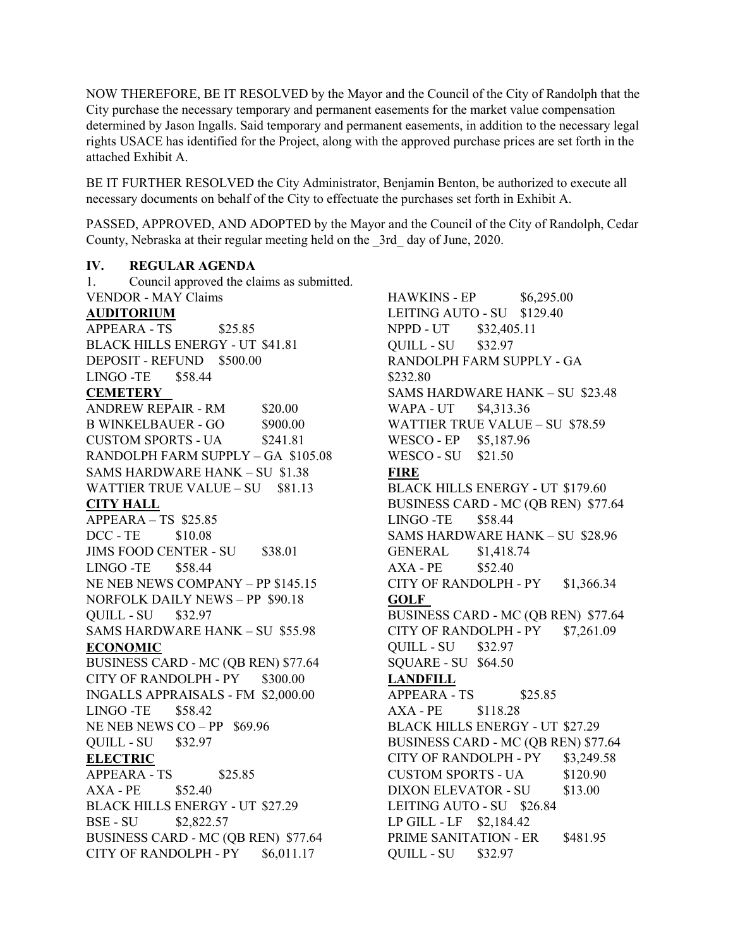NOW THEREFORE, BE IT RESOLVED by the Mayor and the Council of the City of Randolph that the City purchase the necessary temporary and permanent easements for the market value compensation determined by Jason Ingalls. Said temporary and permanent easements, in addition to the necessary legal rights USACE has identified for the Project, along with the approved purchase prices are set forth in the attached Exhibit A.

BE IT FURTHER RESOLVED the City Administrator, Benjamin Benton, be authorized to execute all necessary documents on behalf of the City to effectuate the purchases set forth in Exhibit A.

PASSED, APPROVED, AND ADOPTED by the Mayor and the Council of the City of Randolph, Cedar County, Nebraska at their regular meeting held on the \_3rd\_ day of June, 2020.

#### **IV. REGULAR AGENDA**

1. Council approved the claims as submitted. VENDOR - MAY Claims **AUDITORIUM** APPEARA - TS \$25.85 BLACK HILLS ENERGY - UT \$41.81 DEPOSIT - REFUND \$500.00 LINGO -TE \$58.44 **CEMETERY** ANDREW REPAIR - RM \$20.00 B WINKELBAUER - GO \$900.00 CUSTOM SPORTS - UA \$241.81 RANDOLPH FARM SUPPLY – GA \$105.08 SAMS HARDWARE HANK – SU \$1.38 WATTIER TRUE VALUE – SU \$81.13 **CITY HALL** APPEARA – TS \$25.85 DCC - TE \$10.08 JIMS FOOD CENTER - SU \$38.01 LINGO -TE \$58.44 NE NEB NEWS COMPANY – PP \$145.15 NORFOLK DAILY NEWS – PP \$90.18 QUILL - SU \$32.97 SAMS HARDWARE HANK – SU \$55.98 **ECONOMIC** BUSINESS CARD - MC (QB REN) \$77.64 CITY OF RANDOLPH - PY \$300.00 INGALLS APPRAISALS - FM \$2,000.00 LINGO -TE \$58.42 NE NEB NEWS CO – PP \$69.96 QUILL - SU \$32.97 **ELECTRIC**  $APPEARA - TS$  \$25.85 AXA - PE \$52.40 BLACK HILLS ENERGY - UT \$27.29 BSE - SU \$2,822.57 BUSINESS CARD - MC (QB REN) \$77.64 CITY OF RANDOLPH -  $PY$  \$6,011.17

HAWKINS - EP \$6,295.00 LEITING AUTO - SU \$129.40 NPPD - UT \$32,405.11 QUILL - SU \$32.97 RANDOLPH FARM SUPPLY - GA \$232.80 SAMS HARDWARE HANK – SU \$23.48 WAPA - UT \$4,313.36 WATTIER TRUE VALUE – SU \$78.59 WESCO - EP \$5,187.96 WESCO - SU \$21.50 **FIRE** BLACK HILLS ENERGY - UT \$179.60 BUSINESS CARD - MC (QB REN) \$77.64 LINGO -TE \$58.44 SAMS HARDWARE HANK – SU \$28.96 GENERAL \$1,418.74 AXA - PE \$52.40 CITY OF RANDOLPH -  $PY$  \$1,366.34 **GOLF** BUSINESS CARD - MC (QB REN) \$77.64 CITY OF RANDOLPH - PY \$7,261.09 QUILL - SU \$32.97 SQUARE - SU \$64.50 **LANDFILL** APPEARA - TS \$25.85 AXA - PE \$118.28 BLACK HILLS ENERGY - UT \$27.29 BUSINESS CARD - MC (QB REN) \$77.64 CITY OF RANDOLPH -  $PY$  \$3,249.58 CUSTOM SPORTS - UA \$120.90 DIXON ELEVATOR - SU \$13.00 LEITING AUTO - SU \$26.84 LP GILL - LF \$2,184.42 PRIME SANITATION - ER \$481.95 QUILL - SU \$32.97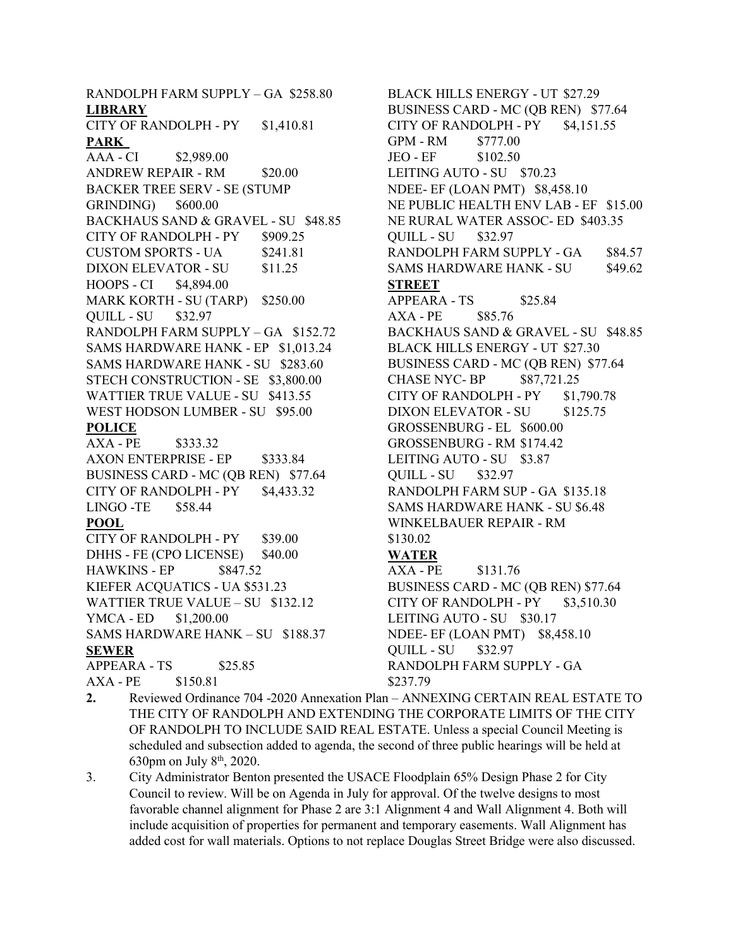RANDOLPH FARM SUPPLY – GA \$258.80 **LIBRARY** CITY OF RANDOLPH - PY \$1,410.81 **PARK** AAA - CI \$2,989.00 ANDREW REPAIR - RM \$20.00 BACKER TREE SERV - SE (STUMP GRINDING) \$600.00 BACKHAUS SAND & GRAVEL - SU \$48.85 CITY OF RANDOLPH - PY \$909.25 CUSTOM SPORTS - UA \$241.81 DIXON ELEVATOR - SU \$11.25 HOOPS - CI \$4,894.00 MARK KORTH - SU (TARP) \$250.00 QUILL - SU \$32.97 RANDOLPH FARM SUPPLY – GA \$152.72 SAMS HARDWARE HANK - EP \$1,013.24 SAMS HARDWARE HANK - SU \$283.60 STECH CONSTRUCTION - SE \$3,800.00 WATTIER TRUE VALUE - SU \$413.55 WEST HODSON LUMBER - SU \$95.00 **POLICE** AXA - PE \$333.32 AXON ENTERPRISE - EP \$333.84 BUSINESS CARD - MC (QB REN) \$77.64 CITY OF RANDOLPH -  $PY$  \$4,433.32 LINGO -TE \$58.44 **POOL** CITY OF RANDOLPH - PY \$39.00 DHHS - FE (CPO LICENSE) \$40.00 HAWKINS - EP \$847.52 KIEFER ACQUATICS - UA \$531.23 WATTIER TRUE VALUE – SU \$132.12 YMCA - ED \$1,200.00 SAMS HARDWARE HANK – SU \$188.37 **SEWER** APPEARA - TS \$25.85 AXA - PE \$150.81

BLACK HILLS ENERGY - UT \$27.29 BUSINESS CARD - MC (QB REN) \$77.64 CITY OF RANDOLPH - PY \$4,151.55 GPM - RM \$777.00 JEO - EF \$102.50 LEITING AUTO - SU \$70.23 NDEE- EF (LOAN PMT) \$8,458.10 NE PUBLIC HEALTH ENV LAB - EF \$15.00 NE RURAL WATER ASSOC- ED \$403.35 QUILL - SU \$32.97 RANDOLPH FARM SUPPLY - GA \$84.57 SAMS HARDWARE HANK - SU \$49.62 **STREET** APPEARA - TS \$25.84 AXA - PE \$85.76 BACKHAUS SAND & GRAVEL - SU \$48.85 BLACK HILLS ENERGY - UT \$27.30 BUSINESS CARD - MC (QB REN) \$77.64 CHASE NYC- BP \$87,721.25 CITY OF RANDOLPH - PY \$1,790.78 DIXON ELEVATOR - SU \$125.75 GROSSENBURG - EL \$600.00 GROSSENBURG - RM \$174.42 LEITING AUTO - SU \$3.87 QUILL - SU \$32.97 RANDOLPH FARM SUP - GA \$135.18 SAMS HARDWARE HANK - SU \$6.48 WINKELBAUER REPAIR - RM \$130.02 **WATER** AXA - PE \$131.76 BUSINESS CARD - MC (QB REN) \$77.64  $CITY$  OF RANDOLPH - PY  $$3.510.30$ LEITING AUTO - SU \$30.17 NDEE- EF (LOAN PMT) \$8,458.10 QUILL - SU \$32.97 RANDOLPH FARM SUPPLY - GA \$237.79

- **2.** Reviewed Ordinance 704 -2020 Annexation Plan ANNEXING CERTAIN REAL ESTATE TO THE CITY OF RANDOLPH AND EXTENDING THE CORPORATE LIMITS OF THE CITY OF RANDOLPH TO INCLUDE SAID REAL ESTATE. Unless a special Council Meeting is scheduled and subsection added to agenda, the second of three public hearings will be held at 630pm on July  $8<sup>th</sup>$ , 2020.
- 3. City Administrator Benton presented the USACE Floodplain 65% Design Phase 2 for City Council to review. Will be on Agenda in July for approval. Of the twelve designs to most favorable channel alignment for Phase 2 are 3:1 Alignment 4 and Wall Alignment 4. Both will include acquisition of properties for permanent and temporary easements. Wall Alignment has added cost for wall materials. Options to not replace Douglas Street Bridge were also discussed.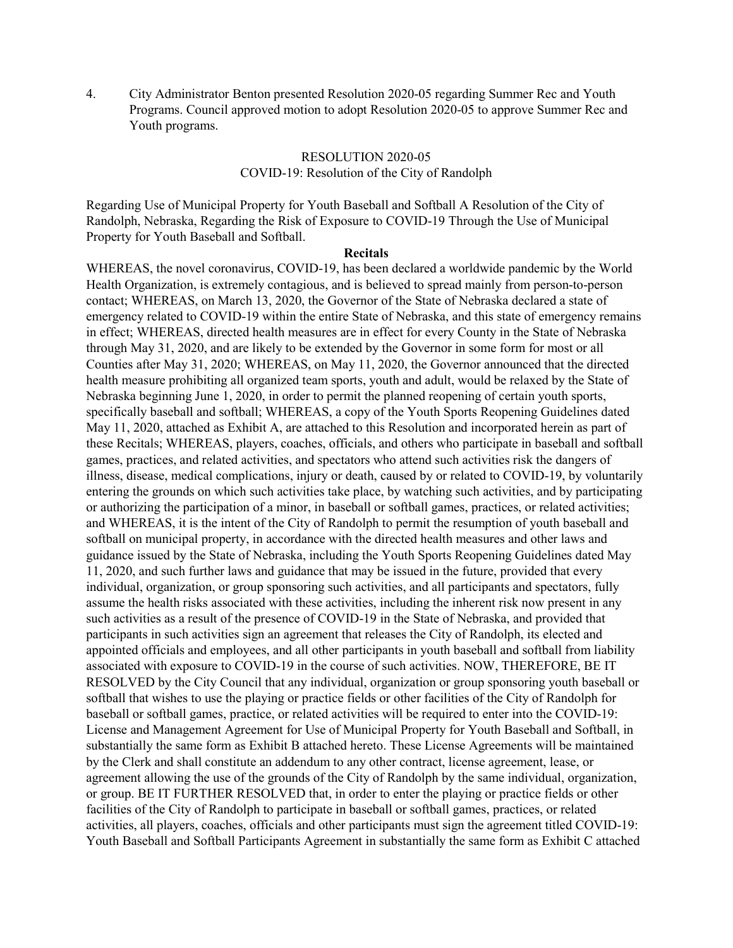4. City Administrator Benton presented Resolution 2020-05 regarding Summer Rec and Youth Programs. Council approved motion to adopt Resolution 2020-05 to approve Summer Rec and Youth programs.

# RESOLUTION 2020-05 COVID-19: Resolution of the City of Randolph

Regarding Use of Municipal Property for Youth Baseball and Softball A Resolution of the City of Randolph, Nebraska, Regarding the Risk of Exposure to COVID-19 Through the Use of Municipal Property for Youth Baseball and Softball.

#### **Recitals**

WHEREAS, the novel coronavirus, COVID-19, has been declared a worldwide pandemic by the World Health Organization, is extremely contagious, and is believed to spread mainly from person-to-person contact; WHEREAS, on March 13, 2020, the Governor of the State of Nebraska declared a state of emergency related to COVID-19 within the entire State of Nebraska, and this state of emergency remains in effect; WHEREAS, directed health measures are in effect for every County in the State of Nebraska through May 31, 2020, and are likely to be extended by the Governor in some form for most or all Counties after May 31, 2020; WHEREAS, on May 11, 2020, the Governor announced that the directed health measure prohibiting all organized team sports, youth and adult, would be relaxed by the State of Nebraska beginning June 1, 2020, in order to permit the planned reopening of certain youth sports, specifically baseball and softball; WHEREAS, a copy of the Youth Sports Reopening Guidelines dated May 11, 2020, attached as Exhibit A, are attached to this Resolution and incorporated herein as part of these Recitals; WHEREAS, players, coaches, officials, and others who participate in baseball and softball games, practices, and related activities, and spectators who attend such activities risk the dangers of illness, disease, medical complications, injury or death, caused by or related to COVID-19, by voluntarily entering the grounds on which such activities take place, by watching such activities, and by participating or authorizing the participation of a minor, in baseball or softball games, practices, or related activities; and WHEREAS, it is the intent of the City of Randolph to permit the resumption of youth baseball and softball on municipal property, in accordance with the directed health measures and other laws and guidance issued by the State of Nebraska, including the Youth Sports Reopening Guidelines dated May 11, 2020, and such further laws and guidance that may be issued in the future, provided that every individual, organization, or group sponsoring such activities, and all participants and spectators, fully assume the health risks associated with these activities, including the inherent risk now present in any such activities as a result of the presence of COVID-19 in the State of Nebraska, and provided that participants in such activities sign an agreement that releases the City of Randolph, its elected and appointed officials and employees, and all other participants in youth baseball and softball from liability associated with exposure to COVID-19 in the course of such activities. NOW, THEREFORE, BE IT RESOLVED by the City Council that any individual, organization or group sponsoring youth baseball or softball that wishes to use the playing or practice fields or other facilities of the City of Randolph for baseball or softball games, practice, or related activities will be required to enter into the COVID-19: License and Management Agreement for Use of Municipal Property for Youth Baseball and Softball, in substantially the same form as Exhibit B attached hereto. These License Agreements will be maintained by the Clerk and shall constitute an addendum to any other contract, license agreement, lease, or agreement allowing the use of the grounds of the City of Randolph by the same individual, organization, or group. BE IT FURTHER RESOLVED that, in order to enter the playing or practice fields or other facilities of the City of Randolph to participate in baseball or softball games, practices, or related activities, all players, coaches, officials and other participants must sign the agreement titled COVID-19: Youth Baseball and Softball Participants Agreement in substantially the same form as Exhibit C attached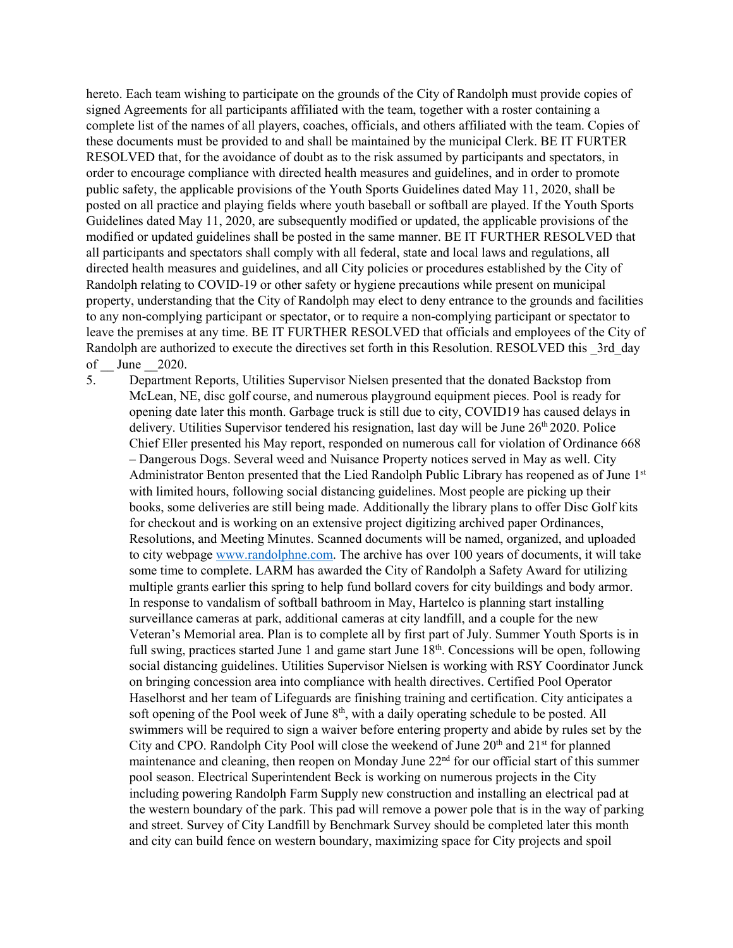hereto. Each team wishing to participate on the grounds of the City of Randolph must provide copies of signed Agreements for all participants affiliated with the team, together with a roster containing a complete list of the names of all players, coaches, officials, and others affiliated with the team. Copies of these documents must be provided to and shall be maintained by the municipal Clerk. BE IT FURTER RESOLVED that, for the avoidance of doubt as to the risk assumed by participants and spectators, in order to encourage compliance with directed health measures and guidelines, and in order to promote public safety, the applicable provisions of the Youth Sports Guidelines dated May 11, 2020, shall be posted on all practice and playing fields where youth baseball or softball are played. If the Youth Sports Guidelines dated May 11, 2020, are subsequently modified or updated, the applicable provisions of the modified or updated guidelines shall be posted in the same manner. BE IT FURTHER RESOLVED that all participants and spectators shall comply with all federal, state and local laws and regulations, all directed health measures and guidelines, and all City policies or procedures established by the City of Randolph relating to COVID-19 or other safety or hygiene precautions while present on municipal property, understanding that the City of Randolph may elect to deny entrance to the grounds and facilities to any non-complying participant or spectator, or to require a non-complying participant or spectator to leave the premises at any time. BE IT FURTHER RESOLVED that officials and employees of the City of Randolph are authorized to execute the directives set forth in this Resolution. RESOLVED this 3rd day of June 2020.

5. Department Reports, Utilities Supervisor Nielsen presented that the donated Backstop from McLean, NE, disc golf course, and numerous playground equipment pieces. Pool is ready for opening date later this month. Garbage truck is still due to city, COVID19 has caused delays in delivery. Utilities Supervisor tendered his resignation, last day will be June 26<sup>th</sup> 2020. Police Chief Eller presented his May report, responded on numerous call for violation of Ordinance 668 – Dangerous Dogs. Several weed and Nuisance Property notices served in May as well. City Administrator Benton presented that the Lied Randolph Public Library has reopened as of June 1st with limited hours, following social distancing guidelines. Most people are picking up their books, some deliveries are still being made. Additionally the library plans to offer Disc Golf kits for checkout and is working on an extensive project digitizing archived paper Ordinances, Resolutions, and Meeting Minutes. Scanned documents will be named, organized, and uploaded to city webpage [www.randolphne.com.](http://www.randolphne.com/) The archive has over 100 years of documents, it will take some time to complete. LARM has awarded the City of Randolph a Safety Award for utilizing multiple grants earlier this spring to help fund bollard covers for city buildings and body armor. In response to vandalism of softball bathroom in May, Hartelco is planning start installing surveillance cameras at park, additional cameras at city landfill, and a couple for the new Veteran's Memorial area. Plan is to complete all by first part of July. Summer Youth Sports is in full swing, practices started June 1 and game start June 18<sup>th</sup>. Concessions will be open, following social distancing guidelines. Utilities Supervisor Nielsen is working with RSY Coordinator Junck on bringing concession area into compliance with health directives. Certified Pool Operator Haselhorst and her team of Lifeguards are finishing training and certification. City anticipates a soft opening of the Pool week of June  $8<sup>th</sup>$ , with a daily operating schedule to be posted. All swimmers will be required to sign a waiver before entering property and abide by rules set by the City and CPO. Randolph City Pool will close the weekend of June  $20<sup>th</sup>$  and  $21<sup>st</sup>$  for planned maintenance and cleaning, then reopen on Monday June 22<sup>nd</sup> for our official start of this summer pool season. Electrical Superintendent Beck is working on numerous projects in the City including powering Randolph Farm Supply new construction and installing an electrical pad at the western boundary of the park. This pad will remove a power pole that is in the way of parking and street. Survey of City Landfill by Benchmark Survey should be completed later this month and city can build fence on western boundary, maximizing space for City projects and spoil